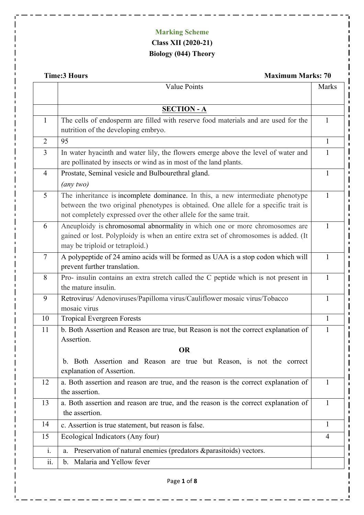## **Marking Scheme Class XII (2020-21) Biology (044) Theory**

**Time:3 Hours** Maximum Marks: 70

 $\mathbf{\mathbf{\perp}}$ 

 $\equiv$   $\frac{1}{2}$ 

. . . . . .

|                | <b>Value Points</b>                                                                                                                                                                                                                         | Marks          |
|----------------|---------------------------------------------------------------------------------------------------------------------------------------------------------------------------------------------------------------------------------------------|----------------|
|                |                                                                                                                                                                                                                                             |                |
|                | <b>SECTION - A</b>                                                                                                                                                                                                                          |                |
| $\mathbf{1}$   | The cells of endosperm are filled with reserve food materials and are used for the                                                                                                                                                          | $\mathbf{1}$   |
|                | nutrition of the developing embryo.                                                                                                                                                                                                         |                |
| $\overline{2}$ | 95                                                                                                                                                                                                                                          | 1              |
| $\overline{3}$ | In water hyacinth and water lily, the flowers emerge above the level of water and<br>are pollinated by insects or wind as in most of the land plants.                                                                                       | $\mathbf{1}$   |
| $\overline{4}$ | Prostate, Seminal vesicle and Bulbourethral gland.                                                                                                                                                                                          | 1              |
|                | $\left($ any two $\right)$                                                                                                                                                                                                                  |                |
| 5              | The inheritance is incomplete dominance. In this, a new intermediate phenotype<br>between the two original phenotypes is obtained. One allele for a specific trait is<br>not completely expressed over the other allele for the same trait. | $\mathbf{1}$   |
| 6              | Aneuploidy is chromosomal abnormality in which one or more chromosomes are<br>gained or lost. Polyploidy is when an entire extra set of chromosomes is added. (It<br>may be triploid or tetraploid.)                                        | $\mathbf{1}$   |
| $\overline{7}$ | A polypeptide of 24 amino acids will be formed as UAA is a stop codon which will<br>prevent further translation.                                                                                                                            | 1              |
| 8              | Pro- insulin contains an extra stretch called the C peptide which is not present in<br>the mature insulin.                                                                                                                                  | $\mathbf{1}$   |
| 9              | Retrovirus/ Adenoviruses/Papilloma virus/Cauliflower mosaic virus/Tobacco<br>mosaic virus                                                                                                                                                   | 1              |
| 10             | <b>Tropical Evergreen Forests</b>                                                                                                                                                                                                           | $\mathbf{1}$   |
| 11             | b. Both Assertion and Reason are true, but Reason is not the correct explanation of                                                                                                                                                         | 1              |
|                | Assertion.                                                                                                                                                                                                                                  |                |
|                | <b>OR</b>                                                                                                                                                                                                                                   |                |
|                | b. Both Assertion and Reason are true but Reason, is not the correct<br>explanation of Assertion.                                                                                                                                           |                |
| 12             | a. Both assertion and reason are true, and the reason is the correct explanation of                                                                                                                                                         | 1              |
|                | the assertion.                                                                                                                                                                                                                              |                |
| 13             | a. Both assertion and reason are true, and the reason is the correct explanation of<br>the assertion.                                                                                                                                       | $\mathbf{1}$   |
| 14             | c. Assertion is true statement, but reason is false.                                                                                                                                                                                        | 1              |
| 15             | Ecological Indicators (Any four)                                                                                                                                                                                                            | $\overline{4}$ |
| $\mathbf{i}$ . | Preservation of natural enemies (predators & parasitoids) vectors.<br>a.                                                                                                                                                                    |                |
| ii.            | b. Malaria and Yellow fever                                                                                                                                                                                                                 |                |
|                | Page 1 of 8                                                                                                                                                                                                                                 |                |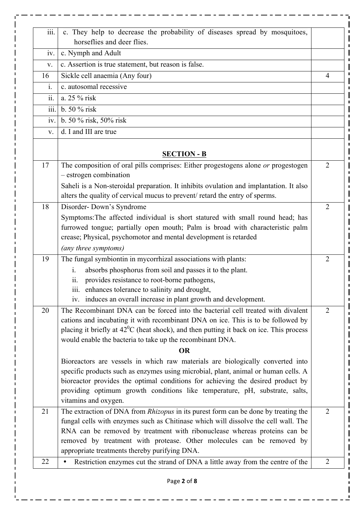| iii.                                     | c. They help to decrease the probability of diseases spread by mosquitoes,<br>horseflies and deer flies.                                                                                                                                                                                                                                                       |                |
|------------------------------------------|----------------------------------------------------------------------------------------------------------------------------------------------------------------------------------------------------------------------------------------------------------------------------------------------------------------------------------------------------------------|----------------|
| iv.                                      | c. Nymph and Adult                                                                                                                                                                                                                                                                                                                                             |                |
| V.                                       | c. Assertion is true statement, but reason is false.                                                                                                                                                                                                                                                                                                           |                |
| 16                                       | Sickle cell anaemia (Any four)                                                                                                                                                                                                                                                                                                                                 | $\overline{4}$ |
| i.                                       | c. autosomal recessive                                                                                                                                                                                                                                                                                                                                         |                |
| $\overline{\ddot{\mathbf{i}}\mathbf{i}}$ | a. 25 % risk                                                                                                                                                                                                                                                                                                                                                   |                |
| iii.                                     | b. 50 % risk                                                                                                                                                                                                                                                                                                                                                   |                |
| iv.                                      | b. 50 % risk, 50% risk                                                                                                                                                                                                                                                                                                                                         |                |
| V.                                       | d. I and III are true                                                                                                                                                                                                                                                                                                                                          |                |
|                                          | <b>SECTION - B</b>                                                                                                                                                                                                                                                                                                                                             |                |
| 17                                       | The composition of oral pills comprises: Either progestogens alone or progestogen<br>- estrogen combination<br>Saheli is a Non-steroidal preparation. It inhibits ovulation and implantation. It also                                                                                                                                                          | $\overline{2}$ |
|                                          | alters the quality of cervical mucus to prevent/ retard the entry of sperms.                                                                                                                                                                                                                                                                                   |                |
| 18                                       | Disorder-Down's Syndrome                                                                                                                                                                                                                                                                                                                                       | $\overline{2}$ |
|                                          | Symptoms: The affected individual is short statured with small round head; has<br>furrowed tongue; partially open mouth; Palm is broad with characteristic palm<br>crease; Physical, psychomotor and mental development is retarded                                                                                                                            |                |
|                                          | (any three symptoms)                                                                                                                                                                                                                                                                                                                                           |                |
| 19                                       | The fungal symbiontin in mycorrhizal associations with plants:                                                                                                                                                                                                                                                                                                 | $\overline{2}$ |
|                                          | absorbs phosphorus from soil and passes it to the plant.<br>$\mathbf{i}$ .                                                                                                                                                                                                                                                                                     |                |
|                                          | provides resistance to root-borne pathogens,<br>$\overline{\mathbf{11}}$ .                                                                                                                                                                                                                                                                                     |                |
|                                          | iii. enhances tolerance to salinity and drought,                                                                                                                                                                                                                                                                                                               |                |
|                                          | iv. induces an overall increase in plant growth and development.                                                                                                                                                                                                                                                                                               |                |
| 20                                       | The Recombinant DNA can be forced into the bacterial cell treated with divalent<br>cations and incubating it with recombinant DNA on ice. This is to be followed by<br>placing it briefly at $42^{\circ}$ C (heat shock), and then putting it back on ice. This process<br>would enable the bacteria to take up the recombinant DNA.                           | $\overline{2}$ |
|                                          | <b>OR</b>                                                                                                                                                                                                                                                                                                                                                      |                |
|                                          | Bioreactors are vessels in which raw materials are biologically converted into<br>specific products such as enzymes using microbial, plant, animal or human cells. A<br>bioreactor provides the optimal conditions for achieving the desired product by<br>providing optimum growth conditions like temperature, pH, substrate, salts,<br>vitamins and oxygen. |                |
| 21                                       | The extraction of DNA from Rhizopus in its purest form can be done by treating the                                                                                                                                                                                                                                                                             | $\overline{2}$ |
|                                          | fungal cells with enzymes such as Chitinase which will dissolve the cell wall. The<br>RNA can be removed by treatment with ribonuclease whereas proteins can be                                                                                                                                                                                                |                |
|                                          |                                                                                                                                                                                                                                                                                                                                                                |                |
|                                          | removed by treatment with protease. Other molecules can be removed by                                                                                                                                                                                                                                                                                          |                |
| 22                                       | appropriate treatments thereby purifying DNA.<br>Restriction enzymes cut the strand of DNA a little away from the centre of the                                                                                                                                                                                                                                | $\overline{2}$ |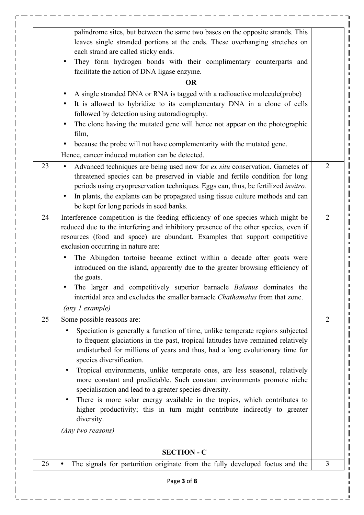|    | palindrome sites, but between the same two bases on the opposite strands. This<br>leaves single stranded portions at the ends. These overhanging stretches on<br>each strand are called sticky ends.<br>They form hydrogen bonds with their complimentary counterparts and<br>$\bullet$<br>facilitate the action of DNA ligase enzyme.<br><b>OR</b><br>A single stranded DNA or RNA is tagged with a radioactive molecule (probe)<br>$\bullet$                                                                                                                                                                                                                                                                                             |                |
|----|--------------------------------------------------------------------------------------------------------------------------------------------------------------------------------------------------------------------------------------------------------------------------------------------------------------------------------------------------------------------------------------------------------------------------------------------------------------------------------------------------------------------------------------------------------------------------------------------------------------------------------------------------------------------------------------------------------------------------------------------|----------------|
|    | It is allowed to hybridize to its complementary DNA in a clone of cells<br>$\bullet$<br>followed by detection using autoradiography.<br>The clone having the mutated gene will hence not appear on the photographic<br>$\bullet$<br>film,                                                                                                                                                                                                                                                                                                                                                                                                                                                                                                  |                |
|    | because the probe will not have complementarity with the mutated gene.<br>$\bullet$<br>Hence, cancer induced mutation can be detected.                                                                                                                                                                                                                                                                                                                                                                                                                                                                                                                                                                                                     |                |
| 23 | Advanced techniques are being used now for ex situ conservation. Gametes of<br>$\bullet$<br>threatened species can be preserved in viable and fertile condition for long<br>periods using cryopreservation techniques. Eggs can, thus, be fertilized invitro.<br>In plants, the explants can be propagated using tissue culture methods and can<br>$\bullet$<br>be kept for long periods in seed banks.                                                                                                                                                                                                                                                                                                                                    | $\overline{2}$ |
| 24 | Interference competition is the feeding efficiency of one species which might be<br>reduced due to the interfering and inhibitory presence of the other species, even if<br>resources (food and space) are abundant. Examples that support competitive<br>exclusion occurring in nature are:<br>The Abingdon tortoise became extinct within a decade after goats were<br>$\bullet$<br>introduced on the island, apparently due to the greater browsing efficiency of<br>the goats.<br>The larger and competitively superior barnacle <i>Balanus</i> dominates the<br>intertidal area and excludes the smaller barnacle <i>Chathamalus</i> from that zone.<br>(any 1 example)                                                               | $\overline{2}$ |
| 25 | Some possible reasons are:<br>Speciation is generally a function of time, unlike temperate regions subjected<br>to frequent glaciations in the past, tropical latitudes have remained relatively<br>undisturbed for millions of years and thus, had a long evolutionary time for<br>species diversification.<br>Tropical environments, unlike temperate ones, are less seasonal, relatively<br>more constant and predictable. Such constant environments promote niche<br>specialisation and lead to a greater species diversity.<br>There is more solar energy available in the tropics, which contributes to<br>$\bullet$<br>higher productivity; this in turn might contribute indirectly to greater<br>diversity.<br>(Any two reasons) | $\overline{2}$ |
|    | <b>SECTION - C</b>                                                                                                                                                                                                                                                                                                                                                                                                                                                                                                                                                                                                                                                                                                                         |                |
|    | The signals for parturition originate from the fully developed foetus and the                                                                                                                                                                                                                                                                                                                                                                                                                                                                                                                                                                                                                                                              | 3              |

 $- - - - -$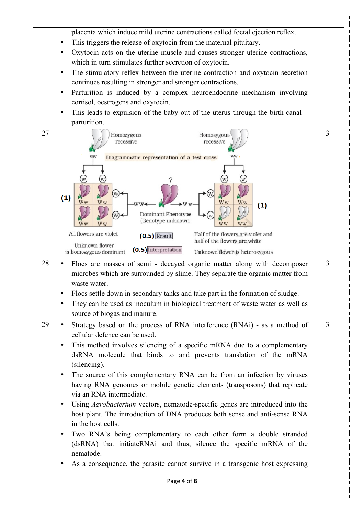| placenta which induce mild uterine contractions called foetal ejection reflex.                                                                                                                                                                                                                                                                                                     |                |
|------------------------------------------------------------------------------------------------------------------------------------------------------------------------------------------------------------------------------------------------------------------------------------------------------------------------------------------------------------------------------------|----------------|
| This triggers the release of oxytocin from the maternal pituitary.<br>$\bullet$                                                                                                                                                                                                                                                                                                    |                |
| Oxytocin acts on the uterine muscle and causes stronger uterine contractions,<br>٠                                                                                                                                                                                                                                                                                                 |                |
| which in turn stimulates further secretion of oxytocin.                                                                                                                                                                                                                                                                                                                            |                |
| The stimulatory reflex between the uterine contraction and oxytocin secretion<br>$\bullet$                                                                                                                                                                                                                                                                                         |                |
| continues resulting in stronger and stronger contractions.                                                                                                                                                                                                                                                                                                                         |                |
| Parturition is induced by a complex neuroendocrine mechanism involving<br>$\bullet$                                                                                                                                                                                                                                                                                                |                |
| cortisol, oestrogens and oxytocin.                                                                                                                                                                                                                                                                                                                                                 |                |
| This leads to expulsion of the baby out of the uterus through the birth canal –<br>$\bullet$                                                                                                                                                                                                                                                                                       |                |
| parturition.                                                                                                                                                                                                                                                                                                                                                                       |                |
| 27<br>Homozygous<br>Homozygous<br>recessive<br>recessive<br>Diagrammatic representation of a test cross<br>(1)                                                                                                                                                                                                                                                                     | 3              |
| W٧<br>W w<br>(1)<br>Dominant Phenotype<br>(Genotype unknown)<br>All flowers are violet<br>Half of the flowers are violet and<br>$(0.5)$ Result                                                                                                                                                                                                                                     |                |
| half of the flowers are white.<br>Unknown flower                                                                                                                                                                                                                                                                                                                                   |                |
| (0.5) Interpretation<br>Unknown flower is heterozygous<br>is homozygous dominant                                                                                                                                                                                                                                                                                                   |                |
| 28<br>Flocs are masses of semi - decayed organic matter along with decomposer<br>microbes which are surrounded by slime. They separate the organic matter from<br>waste water.<br>Flocs settle down in secondary tanks and take part in the formation of sludge.<br>They can be used as inoculum in biological treatment of waste water as well as<br>source of biogas and manure. | $\overline{3}$ |
| 29<br>Strategy based on the process of RNA interference (RNAi) - as a method of<br>$\bullet$                                                                                                                                                                                                                                                                                       | $\overline{3}$ |
| cellular defence can be used.                                                                                                                                                                                                                                                                                                                                                      |                |
| This method involves silencing of a specific mRNA due to a complementary<br>٠                                                                                                                                                                                                                                                                                                      |                |
| dsRNA molecule that binds to and prevents translation of the mRNA                                                                                                                                                                                                                                                                                                                  |                |
| (silencing).                                                                                                                                                                                                                                                                                                                                                                       |                |
| The source of this complementary RNA can be from an infection by viruses<br>$\bullet$                                                                                                                                                                                                                                                                                              |                |
| having RNA genomes or mobile genetic elements (transposons) that replicate                                                                                                                                                                                                                                                                                                         |                |
| via an RNA intermediate.                                                                                                                                                                                                                                                                                                                                                           |                |
| Using Agrobacterium vectors, nematode-specific genes are introduced into the<br>$\bullet$                                                                                                                                                                                                                                                                                          |                |
| host plant. The introduction of DNA produces both sense and anti-sense RNA<br>in the host cells.                                                                                                                                                                                                                                                                                   |                |
| Two RNA's being complementary to each other form a double stranded<br>٠<br>(dsRNA) that initiateRNAi and thus, silence the specific mRNA of the<br>nematode.                                                                                                                                                                                                                       |                |
| As a consequence, the parasite cannot survive in a transgenic host expressing<br>$\bullet$                                                                                                                                                                                                                                                                                         |                |
| Page 4 of 8                                                                                                                                                                                                                                                                                                                                                                        |                |

 $- - - - - -$ 

 $\frac{1}{2}$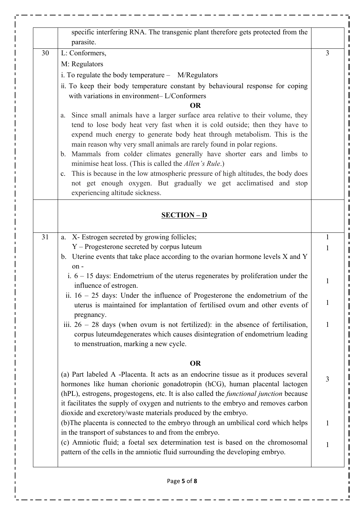|    | parasite.                                                                                                                                                                                                                                                                                                                                                                                                                                                                                                                                                                                                                                                                        |              |
|----|----------------------------------------------------------------------------------------------------------------------------------------------------------------------------------------------------------------------------------------------------------------------------------------------------------------------------------------------------------------------------------------------------------------------------------------------------------------------------------------------------------------------------------------------------------------------------------------------------------------------------------------------------------------------------------|--------------|
| 30 | L: Conformers,                                                                                                                                                                                                                                                                                                                                                                                                                                                                                                                                                                                                                                                                   | 3            |
|    | M: Regulators                                                                                                                                                                                                                                                                                                                                                                                                                                                                                                                                                                                                                                                                    |              |
|    | i. To regulate the body temperature - M/Regulators                                                                                                                                                                                                                                                                                                                                                                                                                                                                                                                                                                                                                               |              |
|    | ii. To keep their body temperature constant by behavioural response for coping<br>with variations in environment-L/Conformers<br><b>OR</b>                                                                                                                                                                                                                                                                                                                                                                                                                                                                                                                                       |              |
|    | Since small animals have a larger surface area relative to their volume, they<br>a.<br>tend to lose body heat very fast when it is cold outside; then they have to<br>expend much energy to generate body heat through metabolism. This is the<br>main reason why very small animals are rarely found in polar regions.<br>Mammals from colder climates generally have shorter ears and limbs to<br>$b_{\cdot}$<br>minimise heat loss. (This is called the <i>Allen's Rule</i> .)<br>c. This is because in the low atmospheric pressure of high altitudes, the body does<br>not get enough oxygen. But gradually we get acclimatised and stop<br>experiencing altitude sickness. |              |
|    | <b>SECTION - D</b>                                                                                                                                                                                                                                                                                                                                                                                                                                                                                                                                                                                                                                                               |              |
| 31 | X- Estrogen secreted by growing follicles;<br>a.                                                                                                                                                                                                                                                                                                                                                                                                                                                                                                                                                                                                                                 | $\mathbf{1}$ |
|    | Y - Progesterone secreted by corpus luteum<br>b. Uterine events that take place according to the ovarian hormone levels $X$ and $Y$<br>$on -$                                                                                                                                                                                                                                                                                                                                                                                                                                                                                                                                    | $\mathbf{1}$ |
|    | i. $6 - 15$ days: Endometrium of the uterus regenerates by proliferation under the<br>influence of estrogen.                                                                                                                                                                                                                                                                                                                                                                                                                                                                                                                                                                     | $\mathbf{1}$ |
|    | ii. $16 - 25$ days: Under the influence of Progesterone the endometrium of the<br>uterus is maintained for implantation of fertilised ovum and other events of<br>pregnancy.                                                                                                                                                                                                                                                                                                                                                                                                                                                                                                     | $\mathbf{1}$ |
|    | iii. $26 - 28$ days (when ovum is not fertilized): in the absence of fertilisation,<br>corpus luteumdegenerates which causes disintegration of endometrium leading<br>to menstruation, marking a new cycle.                                                                                                                                                                                                                                                                                                                                                                                                                                                                      | $\mathbf{1}$ |
|    | <b>OR</b>                                                                                                                                                                                                                                                                                                                                                                                                                                                                                                                                                                                                                                                                        |              |
|    | (a) Part labeled A -Placenta. It acts as an endocrine tissue as it produces several<br>hormones like human chorionic gonadotropin (hCG), human placental lactogen<br>(hPL), estrogens, progestogens, etc. It is also called the <i>functional junction</i> because<br>it facilitates the supply of oxygen and nutrients to the embryo and removes carbon<br>dioxide and excretory/waste materials produced by the embryo.                                                                                                                                                                                                                                                        | 3            |
|    | (b) The placenta is connected to the embryo through an umbilical cord which helps<br>in the transport of substances to and from the embryo.                                                                                                                                                                                                                                                                                                                                                                                                                                                                                                                                      | $\mathbf{1}$ |
|    | (c) Amniotic fluid; a foetal sex determination test is based on the chromosomal<br>pattern of the cells in the amniotic fluid surrounding the developing embryo.                                                                                                                                                                                                                                                                                                                                                                                                                                                                                                                 | $\mathbf{1}$ |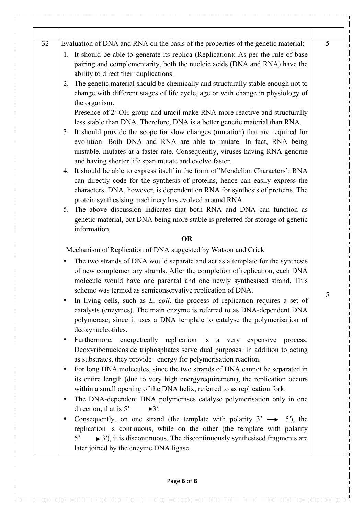| 32 | Evaluation of DNA and RNA on the basis of the properties of the genetic material:<br>1. It should be able to generate its replica (Replication): As per the rule of base<br>pairing and complementarity, both the nucleic acids (DNA and RNA) have the<br>ability to direct their duplications.<br>The genetic material should be chemically and structurally stable enough not to<br>2.<br>change with different stages of life cycle, age or with change in physiology of<br>the organism.<br>Presence of 2'-OH group and uracil make RNA more reactive and structurally<br>less stable than DNA. Therefore, DNA is a better genetic material than RNA.<br>3. It should provide the scope for slow changes (mutation) that are required for<br>evolution: Both DNA and RNA are able to mutate. In fact, RNA being<br>unstable, mutates at a faster rate. Consequently, viruses having RNA genome<br>and having shorter life span mutate and evolve faster.<br>4. It should be able to express itself in the form of 'Mendelian Characters': RNA<br>can directly code for the synthesis of proteins, hence can easily express the<br>characters. DNA, however, is dependent on RNA for synthesis of proteins. The<br>protein synthesising machinery has evolved around RNA.<br>5. The above discussion indicates that both RNA and DNA can function as<br>genetic material, but DNA being more stable is preferred for storage of genetic |
|----|--------------------------------------------------------------------------------------------------------------------------------------------------------------------------------------------------------------------------------------------------------------------------------------------------------------------------------------------------------------------------------------------------------------------------------------------------------------------------------------------------------------------------------------------------------------------------------------------------------------------------------------------------------------------------------------------------------------------------------------------------------------------------------------------------------------------------------------------------------------------------------------------------------------------------------------------------------------------------------------------------------------------------------------------------------------------------------------------------------------------------------------------------------------------------------------------------------------------------------------------------------------------------------------------------------------------------------------------------------------------------------------------------------------------------------------------|
|    | information<br><b>OR</b><br>Mechanism of Replication of DNA suggested by Watson and Crick<br>The two strands of DNA would separate and act as a template for the synthesis<br>of new complementary strands. After the completion of replication, each DNA<br>molecule would have one parental and one newly synthesised strand. This<br>scheme was termed as semiconservative replication of DNA.<br>In living cells, such as $E.$ coli, the process of replication requires a set of                                                                                                                                                                                                                                                                                                                                                                                                                                                                                                                                                                                                                                                                                                                                                                                                                                                                                                                                                      |
|    | catalysts (enzymes). The main enzyme is referred to as DNA-dependent DNA<br>polymerase, since it uses a DNA template to catalyse the polymerisation of<br>deoxynucleotides.<br>Furthermore, energetically replication is a very expensive<br>process.<br>$\bullet$<br>Deoxyribonucleoside triphosphates serve dual purposes. In addition to acting<br>as substrates, they provide energy for polymerisation reaction.<br>For long DNA molecules, since the two strands of DNA cannot be separated in<br>$\bullet$<br>its entire length (due to very high energyrequirement), the replication occurs<br>within a small opening of the DNA helix, referred to as replication fork.<br>The DNA-dependent DNA polymerases catalyse polymerisation only in one<br>$\bullet$                                                                                                                                                                                                                                                                                                                                                                                                                                                                                                                                                                                                                                                                     |
|    | direction, that is $5' \rightarrow 3'$ .<br>Consequently, on one strand (the template with polarity $3' \rightarrow 5'$ ), the<br>٠<br>replication is continuous, while on the other (the template with polarity<br>$5' \rightarrow 3'$ , it is discontinuous. The discontinuously synthesised fragments are<br>later joined by the enzyme DNA ligase.                                                                                                                                                                                                                                                                                                                                                                                                                                                                                                                                                                                                                                                                                                                                                                                                                                                                                                                                                                                                                                                                                     |

 $\blacksquare$  $\frac{1}{1}$ 

 $\frac{1}{1}$  $\mathbf{l}$ a pr

 $\begin{array}{c} \hline \end{array}$  $\mathbf{l}$  $\overline{\phantom{a}}$  $\mathbf l$  $\overline{\phantom{a}}$  $\mathbf l$  $\blacksquare$  $\mathbf l$  $\blacksquare$ 

 $\blacksquare$ 

**I**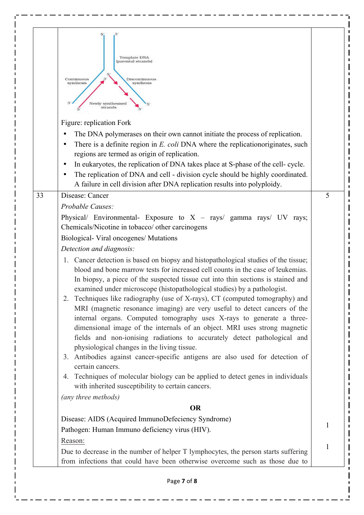| Template DNA<br>parental strands)<br>31<br>Continuous<br>Discontinuous<br>synthesis<br>synthesis<br>Newly synthesised<br>strands                                                                                                                                                                                                                                                                                                                                                                                                                                                                                                                                                                                                                                                                                                                                                                                                                                                                                                                                                                                                                                                                                                                                                  |   |
|-----------------------------------------------------------------------------------------------------------------------------------------------------------------------------------------------------------------------------------------------------------------------------------------------------------------------------------------------------------------------------------------------------------------------------------------------------------------------------------------------------------------------------------------------------------------------------------------------------------------------------------------------------------------------------------------------------------------------------------------------------------------------------------------------------------------------------------------------------------------------------------------------------------------------------------------------------------------------------------------------------------------------------------------------------------------------------------------------------------------------------------------------------------------------------------------------------------------------------------------------------------------------------------|---|
| Figure: replication Fork<br>The DNA polymerases on their own cannot initiate the process of replication.<br>There is a definite region in E. coli DNA where the replicationoriginates, such<br>regions are termed as origin of replication.<br>In eukaryotes, the replication of DNA takes place at S-phase of the cell- cycle.<br>The replication of DNA and cell - division cycle should be highly coordinated.<br>A failure in cell division after DNA replication results into polyploidy.                                                                                                                                                                                                                                                                                                                                                                                                                                                                                                                                                                                                                                                                                                                                                                                    |   |
| Disease: Cancer<br>33<br>Probable Causes:<br>Physical/ Environmental- Exposure to $X - rays/$ gamma rays/ UV rays;<br>Chemicals/Nicotine in tobacco/ other carcinogens<br>Biological- Viral oncogenes/ Mutations<br>Detection and diagnosis:<br>1. Cancer detection is based on biopsy and histopathological studies of the tissue;<br>blood and bone marrow tests for increased cell counts in the case of leukemias.<br>In biopsy, a piece of the suspected tissue cut into thin sections is stained and<br>examined under microscope (histopathological studies) by a pathologist.<br>2. Techniques like radiography (use of X-rays), CT (computed tomography) and<br>MRI (magnetic resonance imaging) are very useful to detect cancers of the<br>internal organs. Computed tomography uses X-rays to generate a three-<br>dimensional image of the internals of an object. MRI uses strong magnetic<br>fields and non-ionising radiations to accurately detect pathological and<br>physiological changes in the living tissue.<br>3. Antibodies against cancer-specific antigens are also used for detection of<br>certain cancers.<br>4. Techniques of molecular biology can be applied to detect genes in individuals<br>with inherited susceptibility to certain cancers. | 5 |
| (any three methods)<br><b>OR</b><br>Disease: AIDS (Acquired ImmunoDefeciency Syndrome)                                                                                                                                                                                                                                                                                                                                                                                                                                                                                                                                                                                                                                                                                                                                                                                                                                                                                                                                                                                                                                                                                                                                                                                            | 1 |
| Pathogen: Human Immuno deficiency virus (HIV).<br>Reason:<br>Due to decrease in the number of helper T lymphocytes, the person starts suffering<br>from infections that could have been otherwise overcome such as those due to                                                                                                                                                                                                                                                                                                                                                                                                                                                                                                                                                                                                                                                                                                                                                                                                                                                                                                                                                                                                                                                   | 1 |

 $\overline{a}$ 

 $\overline{a}$ 

 $\frac{1}{2}$ 

 $\frac{1}{2}$ 

 $\frac{1}{2}$ 

 $- - -$ 

 $\sim$  .